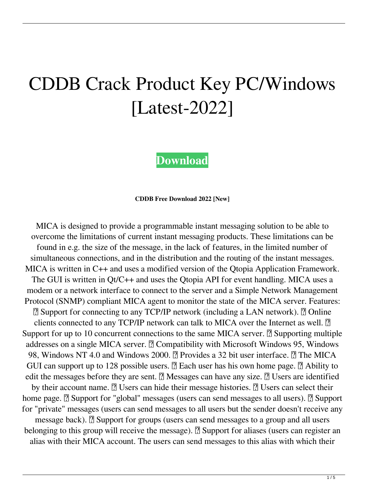# CDDB Crack Product Key PC/Windows [Latest-2022]

**[Download](http://evacdir.com/caringly/vehemently.poisonings.practicum.lignin.Q0REQgQ0R/redress/ZG93bmxvYWR8UUg2T1dSMU5IeDhNVFkxTkRRek5qWTFPSHg4TWpVNU1IeDhLRTBwSUZkdmNtUndjbVZ6Y3lCYldFMU1VbEJESUZZeUlGQkVSbDA/wexler)**

**CDDB Free Download 2022 [New]**

MICA is designed to provide a programmable instant messaging solution to be able to overcome the limitations of current instant messaging products. These limitations can be found in e.g. the size of the message, in the lack of features, in the limited number of simultaneous connections, and in the distribution and the routing of the instant messages. MICA is written in C++ and uses a modified version of the Qtopia Application Framework. The GUI is written in Qt/C++ and uses the Qtopia API for event handling. MICA uses a modem or a network interface to connect to the server and a Simple Network Management Protocol (SNMP) compliant MICA agent to monitor the state of the MICA server. Features: ■ Support for connecting to any TCP/IP network (including a LAN network). ■ Online clients connected to any TCP/IP network can talk to MICA over the Internet as well.  $[$ Support for up to 10 concurrent connections to the same MICA server.  $\mathbb{Z}$  Supporting multiple addresses on a single MICA server. *Q* Compatibility with Microsoft Windows 95, Windows 98, Windows NT 4.0 and Windows 2000. <sup>[7]</sup> Provides a 32 bit user interface. <sup>[7]</sup> The MICA GUI can support up to 128 possible users.  $\boxed{?}$  Each user has his own home page.  $\boxed{?}$  Ability to edit the messages before they are sent.  $\boxed{?}$  Messages can have any size.  $\boxed{?}$  Users are identified by their account name.  $\boxed{?}$  Users can hide their message histories.  $\boxed{?}$  Users can select their home page.  $\mathbb{Z}$  Support for "global" messages (users can send messages to all users).  $\mathbb{Z}$  Support for "private" messages (users can send messages to all users but the sender doesn't receive any message back). *A* Support for groups (users can send messages to a group and all users belonging to this group will receive the message). **A** Support for aliases (users can register an alias with their MICA account. The users can send messages to this alias with which their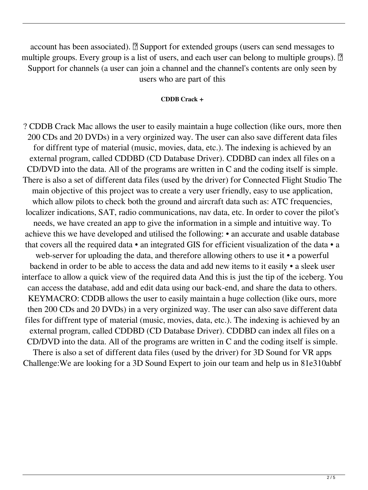account has been associated).  $\mathbb{Z}$  Support for extended groups (users can send messages to multiple groups. Every group is a list of users, and each user can belong to multiple groups).  $[$ Support for channels (a user can join a channel and the channel's contents are only seen by users who are part of this

### **CDDB Crack +**

? CDDB Crack Mac allows the user to easily maintain a huge collection (like ours, more then 200 CDs and 20 DVDs) in a very orginized way. The user can also save different data files for diffrent type of material (music, movies, data, etc.). The indexing is achieved by an external program, called CDDBD (CD Database Driver). CDDBD can index all files on a CD/DVD into the data. All of the programs are written in C and the coding itself is simple. There is also a set of different data files (used by the driver) for Connected Flight Studio The main objective of this project was to create a very user friendly, easy to use application, which allow pilots to check both the ground and aircraft data such as: ATC frequencies, localizer indications, SAT, radio communications, nav data, etc. In order to cover the pilot's needs, we have created an app to give the information in a simple and intuitive way. To achieve this we have developed and utilised the following: • an accurate and usable database that covers all the required data • an integrated GIS for efficient visualization of the data • a web-server for uploading the data, and therefore allowing others to use it • a powerful backend in order to be able to access the data and add new items to it easily • a sleek user interface to allow a quick view of the required data And this is just the tip of the iceberg. You can access the database, add and edit data using our back-end, and share the data to others. KEYMACRO: CDDB allows the user to easily maintain a huge collection (like ours, more then 200 CDs and 20 DVDs) in a very orginized way. The user can also save different data files for diffrent type of material (music, movies, data, etc.). The indexing is achieved by an external program, called CDDBD (CD Database Driver). CDDBD can index all files on a CD/DVD into the data. All of the programs are written in C and the coding itself is simple. There is also a set of different data files (used by the driver) for 3D Sound for VR apps Challenge:We are looking for a 3D Sound Expert to join our team and help us in 81e310abbf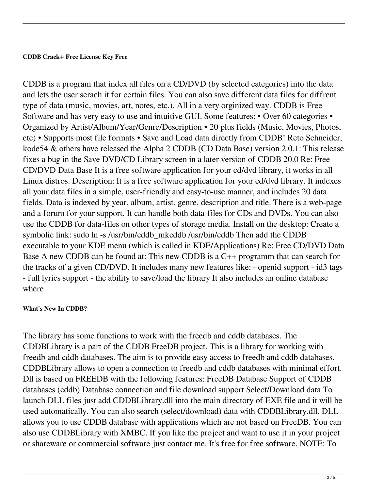### **CDDB Crack+ Free License Key Free**

CDDB is a program that index all files on a CD/DVD (by selected categories) into the data and lets the user serach it for certain files. You can also save different data files for diffrent type of data (music, movies, art, notes, etc.). All in a very orginized way. CDDB is Free Software and has very easy to use and intuitive GUI. Some features: • Over 60 categories • Organized by Artist/Album/Year/Genre/Description • 20 plus fields (Music, Movies, Photos, etc) • Supports most file formats • Save and Load data directly from CDDB! Reto Schneider, kode54 & others have released the Alpha 2 CDDB (CD Data Base) version 2.0.1: This release fixes a bug in the Save DVD/CD Library screen in a later version of CDDB 20.0 Re: Free CD/DVD Data Base It is a free software application for your cd/dvd library, it works in all Linux distros. Description: It is a free software application for your cd/dvd library. It indexes all your data files in a simple, user-friendly and easy-to-use manner, and includes 20 data fields. Data is indexed by year, album, artist, genre, description and title. There is a web-page and a forum for your support. It can handle both data-files for CDs and DVDs. You can also use the CDDB for data-files on other types of storage media. Install on the desktop: Create a symbolic link: sudo ln -s /usr/bin/cddb\_mkcddb /usr/bin/cddb Then add the CDDB executable to your KDE menu (which is called in KDE/Applications) Re: Free CD/DVD Data Base A new CDDB can be found at: This new CDDB is a C++ programm that can search for the tracks of a given CD/DVD. It includes many new features like: - openid support - id3 tags - full lyrics support - the ability to save/load the library It also includes an online database where

## **What's New In CDDB?**

The library has some functions to work with the freedb and cddb databases. The CDDBLibrary is a part of the CDDB FreeDB project. This is a library for working with freedb and cddb databases. The aim is to provide easy access to freedb and cddb databases. CDDBLibrary allows to open a connection to freedb and cddb databases with minimal effort. Dll is based on FREEDB with the following features: FreeDB Database Support of CDDB databases (cddb) Database connection and file download support Select/Download data To launch DLL files just add CDDBLibrary.dll into the main directory of EXE file and it will be used automatically. You can also search (select/download) data with CDDBLibrary.dll. DLL allows you to use CDDB database with applications which are not based on FreeDB. You can also use CDDBLibrary with XMBC. If you like the project and want to use it in your project or shareware or commercial software just contact me. It's free for free software. NOTE: To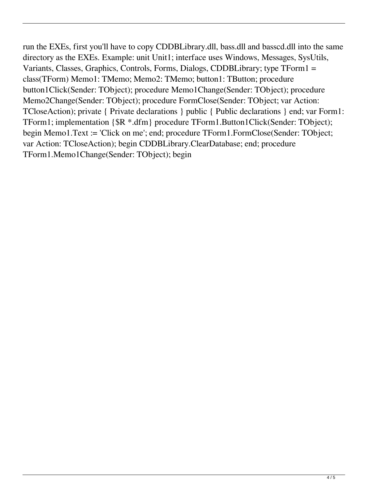run the EXEs, first you'll have to copy CDDBLibrary.dll, bass.dll and basscd.dll into the same directory as the EXEs. Example: unit Unit1; interface uses Windows, Messages, SysUtils, Variants, Classes, Graphics, Controls, Forms, Dialogs, CDDBLibrary; type TForm1 = class(TForm) Memo1: TMemo; Memo2: TMemo; button1: TButton; procedure button1Click(Sender: TObject); procedure Memo1Change(Sender: TObject); procedure Memo2Change(Sender: TObject); procedure FormClose(Sender: TObject; var Action: TCloseAction); private { Private declarations } public { Public declarations } end; var Form1: TForm1; implementation {\$R \*.dfm} procedure TForm1.Button1Click(Sender: TObject); begin Memo1.Text := 'Click on me'; end; procedure TForm1.FormClose(Sender: TObject; var Action: TCloseAction); begin CDDBLibrary.ClearDatabase; end; procedure TForm1.Memo1Change(Sender: TObject); begin